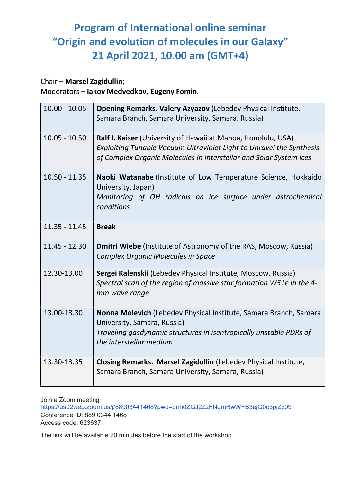# Program of International online seminar "Origin and evolution of molecules in our Galaxy" 21 April 2021, 10.00 am (GMT+4)

# Chair – Marsel Zagidullin;

Moderators – Iakov Medvedkov, Eugeny Fomin.

| $10.00 - 10.05$ | Opening Remarks. Valery Azyazov (Lebedev Physical Institute,<br>Samara Branch, Samara University, Samara, Russia)                                                                                           |
|-----------------|-------------------------------------------------------------------------------------------------------------------------------------------------------------------------------------------------------------|
| $10.05 - 10.50$ | Ralf I. Kaiser (University of Hawaii at Manoa, Honolulu, USA)<br>Exploiting Tunable Vacuum Ultraviolet Light to Unravel the Synthesis<br>of Complex Organic Molecules in Interstellar and Solar System Ices |
| $10.50 - 11.35$ | Naoki Watanabe (Institute of Low Temperature Science, Hokkaido<br>University, Japan)<br>Monitoring of OH radicals on ice surface under astrochemical<br>conditions                                          |
| $11.35 - 11.45$ | <b>Break</b>                                                                                                                                                                                                |
| $11.45 - 12.30$ | <b>Dmitri Wiebe</b> (Institute of Astronomy of the RAS, Moscow, Russia)<br><b>Complex Organic Molecules in Space</b>                                                                                        |
| 12.30-13.00     | Sergei Kalenskii (Lebedev Physical Institute, Moscow, Russia)<br>Spectral scan of the region of massive star formation W51e in the 4-<br>mm wave range                                                      |
| 13.00-13.30     | Nonna Molevich (Lebedev Physical Institute, Samara Branch, Samara<br>University, Samara, Russia)<br>Traveling gasdynamic structures in isentropically unstable PDRs of<br>the interstellar medium           |
| 13.30-13.35     | Closing Remarks. Marsel Zagidullin (Lebedev Physical Institute,<br>Samara Branch, Samara University, Samara, Russia)                                                                                        |

Join a Zoom meeting https://us02web.zoom.us/j/88903441468?pwd=dnh0ZGJ2ZzFNdmRwWFB3ejQ0c3pjZz09 Conference ID: 889 0344 1468 Access code: 623637

The link will be available 20 minutes before the start of the workshop.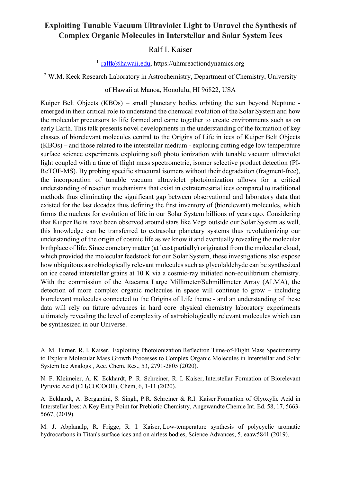## Exploiting Tunable Vacuum Ultraviolet Light to Unravel the Synthesis of Complex Organic Molecules in Interstellar and Solar System Ices

## Ralf I. Kaiser

 $1$  ralfk@hawaii.edu, https://uhmreactiondynamics.org

 $2$  W.M. Keck Research Laboratory in Astrochemistry, Department of Chemistry, University

## of Hawaii at Manoa, Honolulu, HI 96822, USA

Kuiper Belt Objects (KBOs) – small planetary bodies orbiting the sun beyond Neptune emerged in their critical role to understand the chemical evolution of the Solar System and how the molecular precursors to life formed and came together to create environments such as on early Earth. This talk presents novel developments in the understanding of the formation of key classes of biorelevant molecules central to the Origins of Life in ices of Kuiper Belt Objects (KBOs) – and those related to the interstellar medium - exploring cutting edge low temperature surface science experiments exploiting soft photo ionization with tunable vacuum ultraviolet light coupled with a time of flight mass spectrometric, isomer selective product detection (PI-ReTOF-MS). By probing specific structural isomers without their degradation (fragment-free), the incorporation of tunable vacuum ultraviolet photoionization allows for a critical understanding of reaction mechanisms that exist in extraterrestrial ices compared to traditional methods thus eliminating the significant gap between observational and laboratory data that existed for the last decades thus defining the first inventory of (biorelevant) molecules, which forms the nucleus for evolution of life in our Solar System billions of years ago. Considering that Kuiper Belts have been observed around stars like Vega outside our Solar System as well, this knowledge can be transferred to extrasolar planetary systems thus revolutionizing our understanding of the origin of cosmic life as we know it and eventually revealing the molecular birthplace of life. Since cometary matter (at least partially) originated from the molecular cloud, which provided the molecular feedstock for our Solar System, these investigations also expose how ubiquitous astrobiologically relevant molecules such as glycolaldehyde can be synthesized on ice coated interstellar grains at 10 K via a cosmic-ray initiated non-equilibrium chemistry. With the commission of the Atacama Large Millimeter/Submillimeter Array (ALMA), the detection of more complex organic molecules in space will continue to grow – including biorelevant molecules connected to the Origins of Life theme - and an understanding of these data will rely on future advances in hard core physical chemistry laboratory experiments ultimately revealing the level of complexity of astrobiologically relevant molecules which can be synthesized in our Universe.

A. M. Turner, R. I. Kaiser, Exploiting Photoionization Reflectron Time-of-Flight Mass Spectrometry to Explore Molecular Mass Growth Processes to Complex Organic Molecules in Interstellar and Solar System Ice Analogs , Acc. Chem. Res., 53, 2791-2805 (2020).

N. F. Kleimeier, A. K. Eckhardt, P. R. Schreiner, R. I. Kaiser, Interstellar Formation of Biorelevant Pyruvic Acid (CH3COCOOH), Chem, 6, 1-11 (2020).

A. Eckhardt, A. Bergantini, S. Singh, P.R. Schreiner & R.I. Kaiser Formation of Glyoxylic Acid in Interstellar Ices: A Key Entry Point for Prebiotic Chemistry, Angewandte Chemie Int. Ed. 58, 17, 5663- 5667, (2019).

M. J. Abplanalp, R. Frigge, R. I. Kaiser, Low-temperature synthesis of polycyclic aromatic hydrocarbons in Titan's surface ices and on airless bodies, Science Advances, 5, eaaw5841 (2019).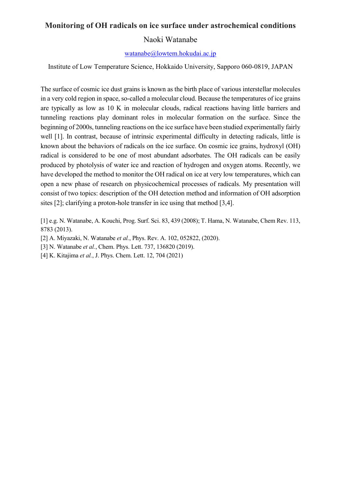## Monitoring of OH radicals on ice surface under astrochemical conditions

## Naoki Watanabe

#### watanabe@lowtem.hokudai.ac.jp

Institute of Low Temperature Science, Hokkaido University, Sapporo 060-0819, JAPAN

The surface of cosmic ice dust grains is known as the birth place of various interstellar molecules in a very cold region in space, so-called a molecular cloud. Because the temperatures of ice grains are typically as low as 10 K in molecular clouds, radical reactions having little barriers and tunneling reactions play dominant roles in molecular formation on the surface. Since the beginning of 2000s, tunneling reactions on the ice surface have been studied experimentally fairly well [1]. In contrast, because of intrinsic experimental difficulty in detecting radicals, little is known about the behaviors of radicals on the ice surface. On cosmic ice grains, hydroxyl (OH) radical is considered to be one of most abundant adsorbates. The OH radicals can be easily produced by photolysis of water ice and reaction of hydrogen and oxygen atoms. Recently, we have developed the method to monitor the OH radical on ice at very low temperatures, which can open a new phase of research on physicochemical processes of radicals. My presentation will consist of two topics: description of the OH detection method and information of OH adsorption sites [2]; clarifying a proton-hole transfer in ice using that method [3,4].

[1] e.g. N. Watanabe, A. Kouchi, Prog. Surf. Sci. 83, 439 (2008); T. Hama, N. Watanabe, Chem Rev. 113, 8783 (2013).

[2] A. Miyazaki, N. Watanabe et al., Phys. Rev. A. 102, 052822, (2020).

[3] N. Watanabe et al., Chem. Phys. Lett. 737, 136820 (2019).

[4] K. Kitajima et al., J. Phys. Chem. Lett. 12, 704 (2021)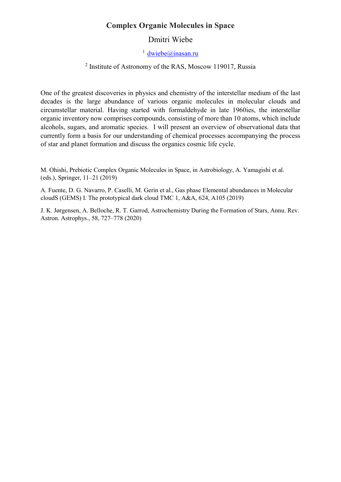## Complex Organic Molecules in Space

## Dmitri Wiebe

 $1$  dwiebe@inasan.ru

#### <sup>2</sup> Institute of Astronomy of the RAS, Moscow 119017, Russia

One of the greatest discoveries in physics and chemistry of the interstellar medium of the last decades is the large abundance of various organic molecules in molecular clouds and circumstellar material. Having started with formaldehyde in late 1960ies, the interstellar organic inventory now comprises compounds, consisting of more than 10 atoms, which include alcohols, sugars, and aromatic species. I will present an overview of observational data that currently form a basis for our understanding of chemical processes accompanying the process of star and planet formation and discuss the organics cosmic life cycle.

M. Ohishi, Prebiotic Complex Organic Molecules in Space, in Astrobiology, A. Yamagishi et al. (eds.), Springer, 11–21 (2019)

A. Fuente, D. G. Navarro, P. Caselli, M. Gerin et al., Gas phase Elemental abundances in Molecular cloudS (GEMS) I. The prototypical dark cloud TMC 1, A&A, 624, A105 (2019)

J. K. Jørgensen, A. Belloche, R. T. Garrod, Astrochemistry During the Formation of Stars, Annu. Rev. Astron. Astrophys., 58, 727–778 (2020)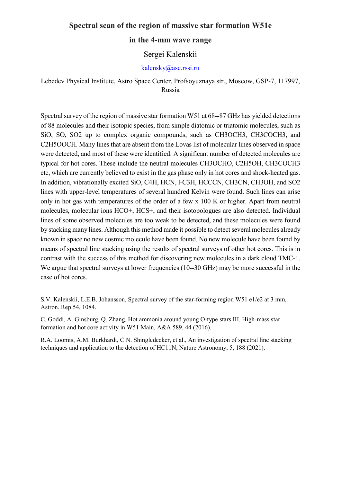## Spectral scan of the region of massive star formation W51e

#### in the 4-mm wave range

## Sergei Kalenskii

#### kalensky@asc.rssi.ru

Lebedev Physical Institute, Astro Space Center, Profsoyuznaya str., Moscow, GSP-7, 117997, Russia

Spectral survey of the region of massive star formation W51 at 68--87 GHz has yielded detections of 88 molecules and their isotopic species, from simple diatomic or triatomic molecules, such as SiO, SO, SO2 up to complex organic compounds, such as CH3OCH3, CH3COCH3, and C2H5OOCH. Many lines that are absent from the Lovas list of molecular lines observed in space were detected, and most of these were identified. A significant number of detected molecules are typical for hot cores. These include the neutral molecules CH3OCHO, C2H5OH, CH3COCH3 etc, which are currently believed to exist in the gas phase only in hot cores and shock-heated gas. In addition, vibrationally excited SiO, C4H, HCN, l-C3H, HCCCN, CH3CN, CH3OH, and SO2 lines with upper-level temperatures of several hundred Kelvin were found. Such lines can arise only in hot gas with temperatures of the order of a few x 100 K or higher. Apart from neutral molecules, molecular ions HCO+, HCS+, and their isotopologues are also detected. Individual lines of some observed molecules are too weak to be detected, and these molecules were found by stacking many lines. Although this method made it possible to detect several molecules already known in space no new cosmic molecule have been found. No new molecule have been found by means of spectral line stacking using the results of spectral surveys of other hot cores. This is in contrast with the success of this method for discovering new molecules in a dark cloud TMC-1. We argue that spectral surveys at lower frequencies (10--30 GHz) may be more successful in the case of hot cores.

S.V. Kalenskii, L.E.B. Johansson, Spectral survey of the star-forming region W51 e1/e2 at 3 mm, Astron. Rep 54, 1084.

C. Goddi, A. Ginsburg, Q. Zhang, Hot ammonia around young O-type stars III. High-mass star formation and hot core activity in W51 Main, A&A 589, 44 (2016).

R.A. Loomis, A.M. Burkhardt, C.N. Shingledecker, et al., An investigation of spectral line stacking techniques and application to the detection of HC11N, Nature Astronomy, 5, 188 (2021).